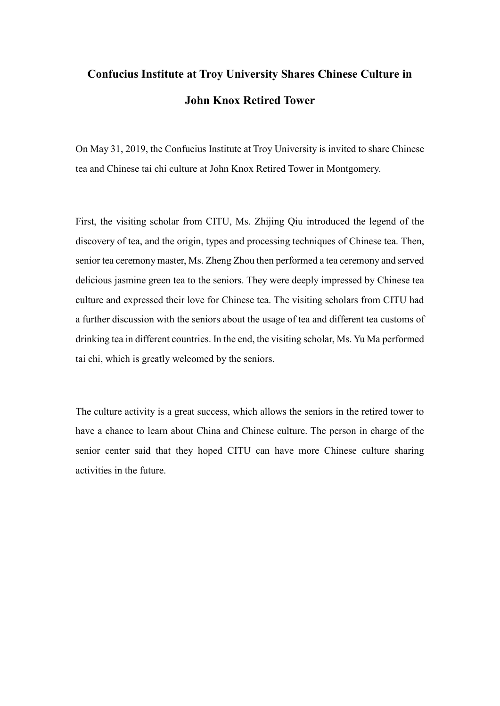## **Confucius Institute at Troy University Shares Chinese Culture in John Knox Retired Tower**

On May 31, 2019, the Confucius Institute at Troy University is invited to share Chinese tea and Chinese tai chi culture at John Knox Retired Tower in Montgomery.

First, the visiting scholar from CITU, Ms. Zhijing Qiu introduced the legend of the discovery of tea, and the origin, types and processing techniques of Chinese tea. Then, senior tea ceremony master, Ms. Zheng Zhou then performed a tea ceremony and served delicious jasmine green tea to the seniors. They were deeply impressed by Chinese tea culture and expressed their love for Chinese tea. The visiting scholars from CITU had a further discussion with the seniors about the usage of tea and different tea customs of drinking tea in different countries. In the end, the visiting scholar, Ms. Yu Ma performed tai chi, which is greatly welcomed by the seniors.

The culture activity is a great success, which allows the seniors in the retired tower to have a chance to learn about China and Chinese culture. The person in charge of the senior center said that they hoped CITU can have more Chinese culture sharing activities in the future.